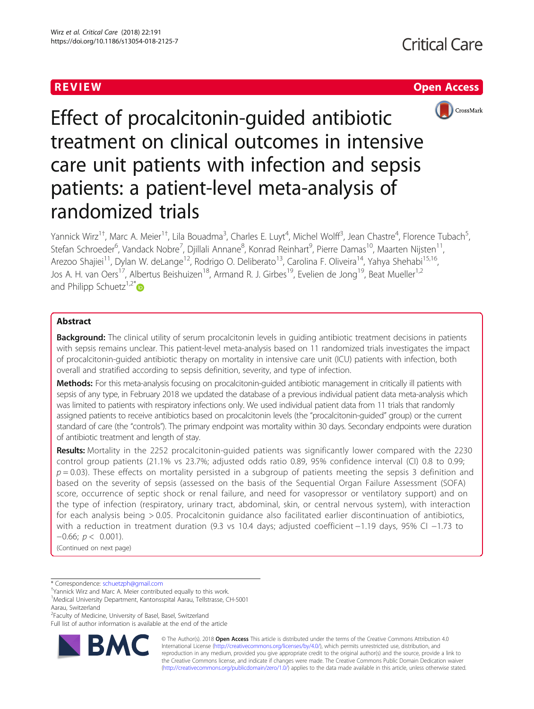



Effect of procalcitonin-guided antibiotic treatment on clinical outcomes in intensive care unit patients with infection and sepsis patients: a patient-level meta-analysis of randomized trials

Yannick Wirz<sup>1†</sup>, Marc A. Meier<sup>1†</sup>, Lila Bouadma<sup>3</sup>, Charles E. Luyt<sup>4</sup>, Michel Wolff<sup>3</sup>, Jean Chastre<sup>4</sup>, Florence Tubach<sup>5</sup> .<br>، Stefan Schroeder<sup>6</sup>, Vandack Nobre<sup>7</sup>, Djillali Annane<sup>8</sup>, Konrad Reinhart<sup>9</sup>, Pierre Damas<sup>10</sup>, Maarten Nijsten<sup>11</sup>, Arezoo Shajiei<sup>11</sup>, Dylan W. deLange<sup>12</sup>, Rodrigo O. Deliberato<sup>13</sup>, Carolina F. Oliveira<sup>14</sup>, Yahya Shehabi<sup>15,16</sup>, Jos A. H. van Oers<sup>17</sup>, Albertus Beishuizen<sup>18</sup>, Armand R. J. Girbes<sup>19</sup>, Evelien de Jong<sup>19</sup>, Beat Mueller<sup>1,2</sup> and Philipp Schuetz $1,2^{*}$ 

# Abstract

Background: The clinical utility of serum procalcitonin levels in quiding antibiotic treatment decisions in patients with sepsis remains unclear. This patient-level meta-analysis based on 11 randomized trials investigates the impact of procalcitonin-guided antibiotic therapy on mortality in intensive care unit (ICU) patients with infection, both overall and stratified according to sepsis definition, severity, and type of infection.

Methods: For this meta-analysis focusing on procalcitonin-quided antibiotic management in critically ill patients with sepsis of any type, in February 2018 we updated the database of a previous individual patient data meta-analysis which was limited to patients with respiratory infections only. We used individual patient data from 11 trials that randomly assigned patients to receive antibiotics based on procalcitonin levels (the "procalcitonin-guided" group) or the current standard of care (the "controls"). The primary endpoint was mortality within 30 days. Secondary endpoints were duration of antibiotic treatment and length of stay.

Results: Mortality in the 2252 procalcitonin-guided patients was significantly lower compared with the 2230 control group patients (21.1% vs 23.7%; adjusted odds ratio 0.89, 95% confidence interval (CI) 0.8 to 0.99;  $p = 0.03$ ). These effects on mortality persisted in a subgroup of patients meeting the sepsis 3 definition and based on the severity of sepsis (assessed on the basis of the Sequential Organ Failure Assessment (SOFA) score, occurrence of septic shock or renal failure, and need for vasopressor or ventilatory support) and on the type of infection (respiratory, urinary tract, abdominal, skin, or central nervous system), with interaction for each analysis being > 0.05. Procalcitonin guidance also facilitated earlier discontinuation of antibiotics, with a reduction in treatment duration (9.3 vs 10.4 days; adjusted coefficient −1.19 days, 95% CI −1.73 to  $-0.66$ ;  $p < 0.001$ ).

(Continued on next page)

<sup>2</sup> Faculty of Medicine, University of Basel, Basel, Switzerland

Full list of author information is available at the end of the article



© The Author(s). 2018 Open Access This article is distributed under the terms of the Creative Commons Attribution 4.0 International License [\(http://creativecommons.org/licenses/by/4.0/](http://creativecommons.org/licenses/by/4.0/)), which permits unrestricted use, distribution, and reproduction in any medium, provided you give appropriate credit to the original author(s) and the source, provide a link to the Creative Commons license, and indicate if changes were made. The Creative Commons Public Domain Dedication waiver [\(http://creativecommons.org/publicdomain/zero/1.0/](http://creativecommons.org/publicdomain/zero/1.0/)) applies to the data made available in this article, unless otherwise stated.

<sup>\*</sup> Correspondence: [schuetzph@gmail.com](mailto:schuetzph@gmail.com) †

Yannick Wirz and Marc A. Meier contributed equally to this work.

<sup>&</sup>lt;sup>1</sup>Medical University Department, Kantonsspital Aarau, Tellstrasse, CH-5001 Aarau, Switzerland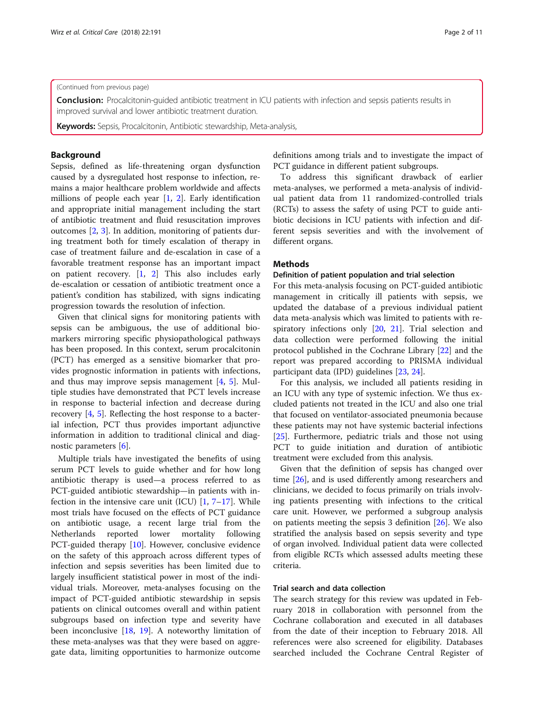## (Continued from previous page)

Conclusion: Procalcitonin-guided antibiotic treatment in ICU patients with infection and sepsis patients results in improved survival and lower antibiotic treatment duration.

Keywords: Sepsis, Procalcitonin, Antibiotic stewardship, Meta-analysis,

## Background

Sepsis, defined as life-threatening organ dysfunction caused by a dysregulated host response to infection, remains a major healthcare problem worldwide and affects millions of people each year [\[1](#page-9-0), [2\]](#page-9-0). Early identification and appropriate initial management including the start of antibiotic treatment and fluid resuscitation improves outcomes [[2](#page-9-0), [3\]](#page-9-0). In addition, monitoring of patients during treatment both for timely escalation of therapy in case of treatment failure and de-escalation in case of a favorable treatment response has an important impact on patient recovery. [\[1](#page-9-0), [2\]](#page-9-0) This also includes early de-escalation or cessation of antibiotic treatment once a patient's condition has stabilized, with signs indicating progression towards the resolution of infection.

Given that clinical signs for monitoring patients with sepsis can be ambiguous, the use of additional biomarkers mirroring specific physiopathological pathways has been proposed. In this context, serum procalcitonin (PCT) has emerged as a sensitive biomarker that provides prognostic information in patients with infections, and thus may improve sepsis management [\[4](#page-9-0), [5\]](#page-9-0). Multiple studies have demonstrated that PCT levels increase in response to bacterial infection and decrease during recovery [[4,](#page-9-0) [5](#page-9-0)]. Reflecting the host response to a bacterial infection, PCT thus provides important adjunctive information in addition to traditional clinical and diagnostic parameters [\[6](#page-9-0)].

Multiple trials have investigated the benefits of using serum PCT levels to guide whether and for how long antibiotic therapy is used—a process referred to as PCT-guided antibiotic stewardship—in patients with infection in the intensive care unit (ICU)  $[1, 7-17]$  $[1, 7-17]$  $[1, 7-17]$  $[1, 7-17]$  $[1, 7-17]$  $[1, 7-17]$  $[1, 7-17]$ . While most trials have focused on the effects of PCT guidance on antibiotic usage, a recent large trial from the Netherlands reported lower mortality following PCT-guided therapy [[10\]](#page-9-0). However, conclusive evidence on the safety of this approach across different types of infection and sepsis severities has been limited due to largely insufficient statistical power in most of the individual trials. Moreover, meta-analyses focusing on the impact of PCT-guided antibiotic stewardship in sepsis patients on clinical outcomes overall and within patient subgroups based on infection type and severity have been inconclusive [[18,](#page-10-0) [19](#page-10-0)]. A noteworthy limitation of these meta-analyses was that they were based on aggregate data, limiting opportunities to harmonize outcome definitions among trials and to investigate the impact of PCT guidance in different patient subgroups.

To address this significant drawback of earlier meta-analyses, we performed a meta-analysis of individual patient data from 11 randomized-controlled trials (RCTs) to assess the safety of using PCT to guide antibiotic decisions in ICU patients with infection and different sepsis severities and with the involvement of different organs.

## **Methods**

# Definition of patient population and trial selection

For this meta-analysis focusing on PCT-guided antibiotic management in critically ill patients with sepsis, we updated the database of a previous individual patient data meta-analysis which was limited to patients with respiratory infections only [\[20,](#page-10-0) [21\]](#page-10-0). Trial selection and data collection were performed following the initial protocol published in the Cochrane Library [\[22\]](#page-10-0) and the report was prepared according to PRISMA individual participant data (IPD) guidelines [\[23,](#page-10-0) [24\]](#page-10-0).

For this analysis, we included all patients residing in an ICU with any type of systemic infection. We thus excluded patients not treated in the ICU and also one trial that focused on ventilator-associated pneumonia because these patients may not have systemic bacterial infections [[25\]](#page-10-0). Furthermore, pediatric trials and those not using PCT to guide initiation and duration of antibiotic treatment were excluded from this analysis.

Given that the definition of sepsis has changed over time [[26](#page-10-0)], and is used differently among researchers and clinicians, we decided to focus primarily on trials involving patients presenting with infections to the critical care unit. However, we performed a subgroup analysis on patients meeting the sepsis 3 definition [[26\]](#page-10-0). We also stratified the analysis based on sepsis severity and type of organ involved. Individual patient data were collected from eligible RCTs which assessed adults meeting these criteria.

## Trial search and data collection

The search strategy for this review was updated in February 2018 in collaboration with personnel from the Cochrane collaboration and executed in all databases from the date of their inception to February 2018. All references were also screened for eligibility. Databases searched included the Cochrane Central Register of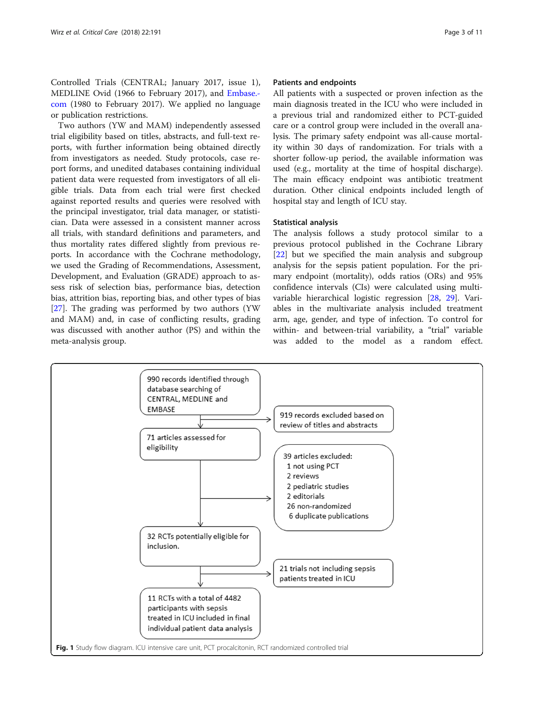<span id="page-2-0"></span>Controlled Trials (CENTRAL; January 2017, issue 1), MEDLINE Ovid (1966 to February 2017), and [Embase.](http://embase.com) [com](http://embase.com) (1980 to February 2017). We applied no language or publication restrictions.

Two authors (YW and MAM) independently assessed trial eligibility based on titles, abstracts, and full-text reports, with further information being obtained directly from investigators as needed. Study protocols, case report forms, and unedited databases containing individual patient data were requested from investigators of all eligible trials. Data from each trial were first checked against reported results and queries were resolved with the principal investigator, trial data manager, or statistician. Data were assessed in a consistent manner across all trials, with standard definitions and parameters, and thus mortality rates differed slightly from previous reports. In accordance with the Cochrane methodology, we used the Grading of Recommendations, Assessment, Development, and Evaluation (GRADE) approach to assess risk of selection bias, performance bias, detection bias, attrition bias, reporting bias, and other types of bias [[27\]](#page-10-0). The grading was performed by two authors (YW and MAM) and, in case of conflicting results, grading was discussed with another author (PS) and within the meta-analysis group.

## Patients and endpoints

All patients with a suspected or proven infection as the main diagnosis treated in the ICU who were included in a previous trial and randomized either to PCT-guided care or a control group were included in the overall analysis. The primary safety endpoint was all-cause mortality within 30 days of randomization. For trials with a shorter follow-up period, the available information was used (e.g., mortality at the time of hospital discharge). The main efficacy endpoint was antibiotic treatment duration. Other clinical endpoints included length of hospital stay and length of ICU stay.

## Statistical analysis

The analysis follows a study protocol similar to a previous protocol published in the Cochrane Library [[22\]](#page-10-0) but we specified the main analysis and subgroup analysis for the sepsis patient population. For the primary endpoint (mortality), odds ratios (ORs) and 95% confidence intervals (CIs) were calculated using multivariable hierarchical logistic regression [[28,](#page-10-0) [29](#page-10-0)]. Variables in the multivariate analysis included treatment arm, age, gender, and type of infection. To control for within- and between-trial variability, a "trial" variable was added to the model as a random effect.

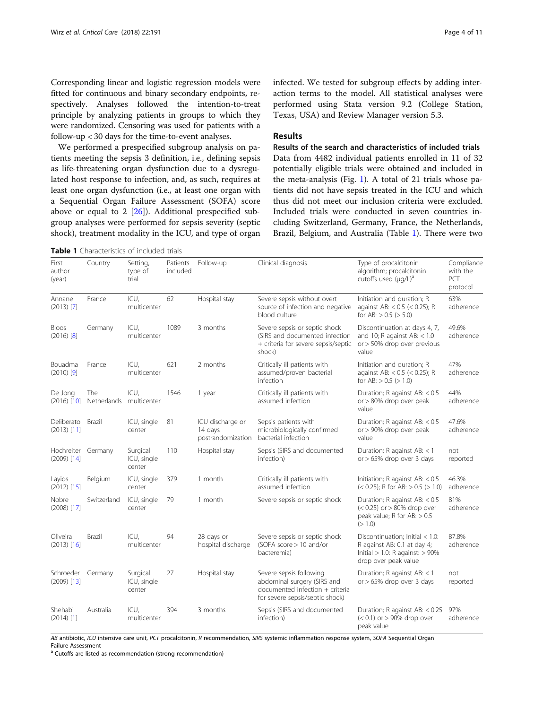<span id="page-3-0"></span>Corresponding linear and logistic regression models were fitted for continuous and binary secondary endpoints, respectively. Analyses followed the intention-to-treat principle by analyzing patients in groups to which they were randomized. Censoring was used for patients with a follow-up < 30 days for the time-to-event analyses.

We performed a prespecified subgroup analysis on patients meeting the sepsis 3 definition, i.e., defining sepsis as life-threatening organ dysfunction due to a dysregulated host response to infection, and, as such, requires at least one organ dysfunction (i.e., at least one organ with a Sequential Organ Failure Assessment (SOFA) score above or equal to 2  $[26]$  $[26]$ ). Additional prespecified subgroup analyses were performed for sepsis severity (septic shock), treatment modality in the ICU, and type of organ

Table 1 Characteristics of included trials

infected. We tested for subgroup effects by adding interaction terms to the model. All statistical analyses were performed using Stata version 9.2 (College Station, Texas, USA) and Review Manager version 5.3.

# Results

Results of the search and characteristics of included trials Data from 4482 individual patients enrolled in 11 of 32 potentially eligible trials were obtained and included in the meta-analysis (Fig. [1](#page-2-0)). A total of 21 trials whose patients did not have sepsis treated in the ICU and which thus did not meet our inclusion criteria were excluded. Included trials were conducted in seven countries including Switzerland, Germany, France, the Netherlands, Brazil, Belgium, and Australia (Table 1). There were two

| First<br>author<br>(year)   | Country                   | Setting,<br>type of<br>trial      | Patients<br>included | Follow-up                                        | Clinical diagnosis                                                                                                           | Type of procalcitonin<br>algorithm; procalcitonin<br>cutoffs used (µq/L) <sup>a</sup>                                              | Compliance<br>with the<br>PCT<br>protocol |
|-----------------------------|---------------------------|-----------------------------------|----------------------|--------------------------------------------------|------------------------------------------------------------------------------------------------------------------------------|------------------------------------------------------------------------------------------------------------------------------------|-------------------------------------------|
| Annane<br>$(2013)$ [7]      | France                    | ICU,<br>multicenter               | 62                   | Hospital stay                                    | Severe sepsis without overt<br>source of infection and negative<br>blood culture                                             | Initiation and duration; R<br>against AB: $< 0.5$ ( $< 0.25$ ); R<br>for AB: $> 0.5$ ( $> 5.0$ )                                   | 63%<br>adherence                          |
| Bloos<br>$(2016)$ [8]       | Germany                   | ICU,<br>multicenter               | 1089                 | 3 months                                         | Severe sepsis or septic shock<br>(SIRS and documented infection<br>+ criteria for severe sepsis/septic<br>shock)             | Discontinuation at days 4, 7,<br>and 10; R against AB: $<$ 1.0<br>or > 50% drop over previous<br>value                             | 49.6%<br>adherence                        |
| Bouadma<br>$(2010)$ [9]     | France                    | ICU.<br>multicenter               | 621                  | 2 months                                         | Critically ill patients with<br>assumed/proven bacterial<br>infection                                                        | Initiation and duration; R<br>against AB: $< 0.5$ ( $< 0.25$ ); R<br>for AB: $> 0.5$ ( $> 1.0$ )                                   | 47%<br>adherence                          |
| De Jong<br>$(2016)$ [10]    | <b>The</b><br>Netherlands | ICU,<br>multicenter               | 1546                 | 1 year                                           | Critically ill patients with<br>assumed infection                                                                            | Duration; R against AB: < 0.5<br>or $>80\%$ drop over peak<br>value                                                                | 44%<br>adherence                          |
| Deliberato<br>$(2013)$ [11] | Brazil                    | ICU, single<br>center             | 81                   | ICU discharge or<br>14 days<br>postrandomization | Sepsis patients with<br>microbiologically confirmed<br>bacterial infection                                                   | Duration; R against AB: < 0.5<br>or > 90% drop over peak<br>value                                                                  | 47.6%<br>adherence                        |
| Hochreiter<br>$(2009)$ [14] | Germany                   | Surgical<br>ICU, single<br>center | 110                  | Hospital stay                                    | Sepsis (SIRS and documented<br>infection)                                                                                    | Duration; R against AB: < 1<br>or $>65\%$ drop over 3 days                                                                         | not<br>reported                           |
| Layios<br>$(2012)$ [15]     | Belgium                   | ICU, single<br>center             | 379                  | 1 month                                          | Critically ill patients with<br>assumed infection                                                                            | Initiation; R against AB: $< 0.5$<br>$(< 0.25)$ ; R for AB: $> 0.5$ ( $> 1.0$ )                                                    | 46.3%<br>adherence                        |
| Nobre<br>$(2008)$ [17]      | Switzerland               | ICU, single<br>center             | 79                   | 1 month                                          | Severe sepsis or septic shock                                                                                                | Duration; R against AB: < 0.5<br>$(< 0.25)$ or $> 80\%$ drop over<br>peak value; R for AB: $> 0.5$<br>(>1.0)                       | 81%<br>adherence                          |
| Oliveira<br>$(2013)$ [16]   | <b>Brazil</b>             | ICU,<br>multicenter               | 94                   | 28 days or<br>hospital discharge                 | Severe sepsis or septic shock<br>(SOFA score > 10 and/or<br>bacteremia)                                                      | Discontinuation; Initial $< 1.0$ :<br>R against AB: 0.1 at day 4;<br>$Initial > 1.0$ : R against: $> 90\%$<br>drop over peak value | 87.8%<br>adherence                        |
| Schroeder<br>$(2009)$ [13]  | Germany                   | Surgical<br>ICU, single<br>center | 27                   | Hospital stay                                    | Severe sepsis following<br>abdominal surgery (SIRS and<br>documented infection + criteria<br>for severe sepsis/septic shock) | Duration; R against AB: $<$ 1<br>or $> 65\%$ drop over 3 days                                                                      | not<br>reported                           |
| Shehabi<br>$(2014)$ [1]     | Australia                 | ICU,<br>multicenter               | 394                  | 3 months                                         | Sepsis (SIRS and documented<br>infection)                                                                                    | Duration; R against AB: < 0.25<br>$(< 0.1)$ or $> 90\%$ drop over<br>peak value                                                    | 97%<br>adherence                          |

AB antibiotic, ICU intensive care unit, PCT procalcitonin, R recommendation, SIRS systemic inflammation response system, SOFA Sequential Organ Failure Assessment

<sup>a</sup> Cutoffs are listed as recommendation (strong recommendation)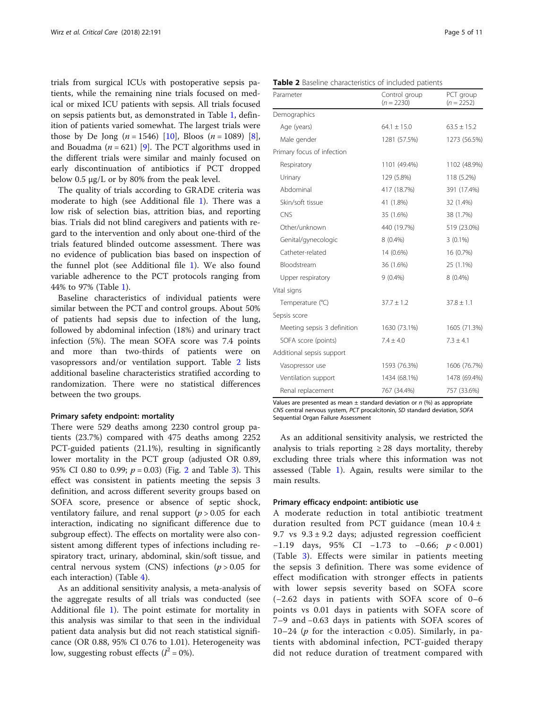trials from surgical ICUs with postoperative sepsis patients, while the remaining nine trials focused on medical or mixed ICU patients with sepsis. All trials focused on sepsis patients but, as demonstrated in Table [1](#page-3-0), definition of patients varied somewhat. The largest trials were those by De Jong  $(n = 1546)$  [[10\]](#page-9-0), Bloos  $(n = 1089)$  [\[8](#page-9-0)], and Bouadma ( $n = 621$ ) [\[9](#page-9-0)]. The PCT algorithms used in the different trials were similar and mainly focused on early discontinuation of antibiotics if PCT dropped below 0.5 μg/L or by 80% from the peak level.

The quality of trials according to GRADE criteria was moderate to high (see Additional file [1\)](#page-9-0). There was a low risk of selection bias, attrition bias, and reporting bias. Trials did not blind caregivers and patients with regard to the intervention and only about one-third of the trials featured blinded outcome assessment. There was no evidence of publication bias based on inspection of the funnel plot (see Additional file [1\)](#page-9-0). We also found variable adherence to the PCT protocols ranging from 44% to 97% (Table [1](#page-3-0)).

Baseline characteristics of individual patients were similar between the PCT and control groups. About 50% of patients had sepsis due to infection of the lung, followed by abdominal infection (18%) and urinary tract infection (5%). The mean SOFA score was 7.4 points and more than two-thirds of patients were on vasopressors and/or ventilation support. Table 2 lists additional baseline characteristics stratified according to randomization. There were no statistical differences between the two groups.

## Primary safety endpoint: mortality

There were 529 deaths among 2230 control group patients (23.7%) compared with 475 deaths among 2252 PCT-guided patients (21.1%), resulting in significantly lower mortality in the PCT group (adjusted OR 0.89, 95% CI 0.80 to 0.99;  $p = 0.03$  $p = 0.03$ ) (Fig. [2](#page-5-0) and Table 3). This effect was consistent in patients meeting the sepsis 3 definition, and across different severity groups based on SOFA score, presence or absence of septic shock, ventilatory failure, and renal support  $(p > 0.05$  for each interaction, indicating no significant difference due to subgroup effect). The effects on mortality were also consistent among different types of infections including respiratory tract, urinary, abdominal, skin/soft tissue, and central nervous system (CNS) infections ( $p > 0.05$  for each interaction) (Table [4\)](#page-8-0).

As an additional sensitivity analysis, a meta-analysis of the aggregate results of all trials was conducted (see Additional file [1\)](#page-9-0). The point estimate for mortality in this analysis was similar to that seen in the individual patient data analysis but did not reach statistical significance (OR 0.88, 95% CI 0.76 to 1.01). Heterogeneity was low, suggesting robust effects ( $I^2 = 0\%$ ).

| Demographics                |                 |                 |
|-----------------------------|-----------------|-----------------|
| Age (years)                 | $64.1 \pm 15.0$ | $63.5 \pm 15.2$ |
| Male gender                 | 1281 (57.5%)    | 1273 (56.5%)    |
| Primary focus of infection  |                 |                 |
| Respiratory                 | 1101 (49.4%)    | 1102 (48.9%)    |
| Urinary                     | 129 (5.8%)      | 118 (5.2%)      |
| Abdominal                   | 417 (18.7%)     | 391 (17.4%)     |
| Skin/soft tissue            | 41 (1.8%)       | 32 (1.4%)       |
| CNS                         | 35 (1.6%)       | 38 (1.7%)       |
| Other/unknown               | 440 (19.7%)     | 519 (23.0%)     |
| Genital/gynecologic         | $8(0.4\%)$      | $3(0.1\%)$      |
| Catheter-related            | 14 (0.6%)       | 16 (0.7%)       |
| Bloodstream                 | 36 (1.6%)       | 25 (1.1%)       |
| Upper respiratory           | $9(0.4\%)$      | 8 (0.4%)        |
| Vital signs                 |                 |                 |
| Temperature (°C)            | $37.7 \pm 1.2$  | $37.8 \pm 1.1$  |
| Sepsis score                |                 |                 |
| Meeting sepsis 3 definition | 1630 (73.1%)    | 1605 (71.3%)    |
| SOFA score (points)         | $7.4 \pm 4.0$   | $7.3 \pm 4.1$   |
| Additional sepsis support   |                 |                 |
| Vasopressor use             | 1593 (76.3%)    | 1606 (76.7%)    |
| Ventilation support         | 1434 (68.1%)    | 1478 (69.4%)    |
| Renal replacement           | 767 (34.4%)     | 757 (33.6%)     |

Values are presented as mean  $\pm$  standard deviation or n (%) as appropriate CNS central nervous system, PCT procalcitonin, SD standard deviation, SOFA Sequential Organ Failure Assessment

As an additional sensitivity analysis, we restricted the analysis to trials reporting  $\geq 28$  days mortality, thereby excluding three trials where this information was not assessed (Table [1\)](#page-3-0). Again, results were similar to the main results.

## Primary efficacy endpoint: antibiotic use

A moderate reduction in total antibiotic treatment duration resulted from PCT guidance (mean 10.4 ± 9.7 vs  $9.3 \pm 9.2$  days; adjusted regression coefficient  $-1.19$  days, 95% CI  $-1.73$  to  $-0.66$ ;  $p < 0.001$ ) (Table [3](#page-6-0)). Effects were similar in patients meeting the sepsis 3 definition. There was some evidence of effect modification with stronger effects in patients with lower sepsis severity based on SOFA score (−2.62 days in patients with SOFA score of 0–6 points vs 0.01 days in patients with SOFA score of 7–9 and −0.63 days in patients with SOFA scores of 10–24 ( $p$  for the interaction < 0.05). Similarly, in patients with abdominal infection, PCT-guided therapy did not reduce duration of treatment compared with

PCT group  $(n = 2252)$ 

|  |  | Table 2 Baseline characteristics of included patients |  |  |
|--|--|-------------------------------------------------------|--|--|
|--|--|-------------------------------------------------------|--|--|

 $(n = 2230)$ 

Parameter **Control** group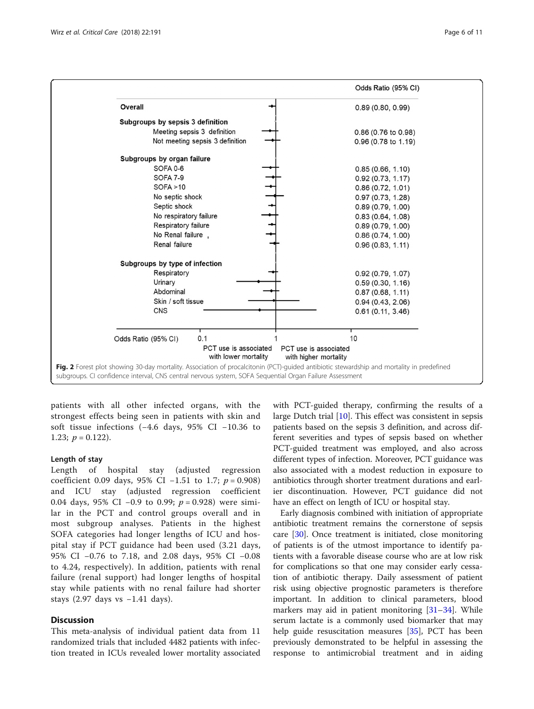<span id="page-5-0"></span>

patients with all other infected organs, with the strongest effects being seen in patients with skin and soft tissue infections (−4.6 days, 95% CI −10.36 to 1.23;  $p = 0.122$ ).

## Length of stay

Length of hospital stay (adjusted regression coefficient 0.09 days, 95% CI −1.51 to 1.7;  $p = 0.908$ ) and ICU stay (adjusted regression coefficient 0.04 days, 95% CI -0.9 to 0.99;  $p = 0.928$ ) were similar in the PCT and control groups overall and in most subgroup analyses. Patients in the highest SOFA categories had longer lengths of ICU and hospital stay if PCT guidance had been used (3.21 days, 95% CI −0.76 to 7.18, and 2.08 days, 95% CI −0.08 to 4.24, respectively). In addition, patients with renal failure (renal support) had longer lengths of hospital stay while patients with no renal failure had shorter stays (2.97 days vs −1.41 days).

## **Discussion**

This meta-analysis of individual patient data from 11 randomized trials that included 4482 patients with infection treated in ICUs revealed lower mortality associated

with PCT-guided therapy, confirming the results of a large Dutch trial [\[10\]](#page-9-0). This effect was consistent in sepsis patients based on the sepsis 3 definition, and across different severities and types of sepsis based on whether PCT-guided treatment was employed, and also across different types of infection. Moreover, PCT guidance was also associated with a modest reduction in exposure to antibiotics through shorter treatment durations and earlier discontinuation. However, PCT guidance did not have an effect on length of ICU or hospital stay.

Early diagnosis combined with initiation of appropriate antibiotic treatment remains the cornerstone of sepsis care [[30\]](#page-10-0). Once treatment is initiated, close monitoring of patients is of the utmost importance to identify patients with a favorable disease course who are at low risk for complications so that one may consider early cessation of antibiotic therapy. Daily assessment of patient risk using objective prognostic parameters is therefore important. In addition to clinical parameters, blood markers may aid in patient monitoring [[31](#page-10-0)–[34](#page-10-0)]. While serum lactate is a commonly used biomarker that may help guide resuscitation measures [[35\]](#page-10-0), PCT has been previously demonstrated to be helpful in assessing the response to antimicrobial treatment and in aiding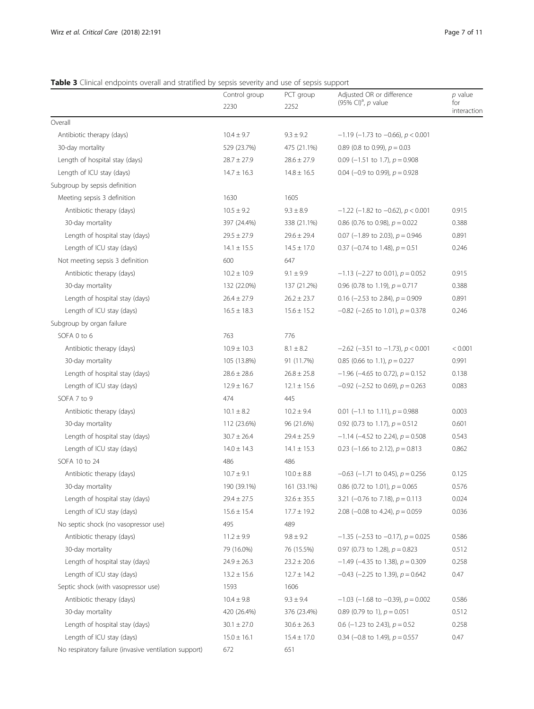## <span id="page-6-0"></span>Table 3 Clinical endpoints overall and stratified by sepsis severity and use of sepsis support

|                                                       | Control group<br>2230 | PCT group<br>2252              | Adjusted OR or difference<br>(95% CI) <sup>a</sup> , $p$ value | $p$ value<br>for<br>interaction |
|-------------------------------------------------------|-----------------------|--------------------------------|----------------------------------------------------------------|---------------------------------|
| Overall                                               |                       |                                |                                                                |                                 |
| Antibiotic therapy (days)                             | $10.4 \pm 9.7$        | $9.3 \pm 9.2$                  | $-1.19$ (-1.73 to -0.66), $p < 0.001$                          |                                 |
| 30-day mortality                                      | 529 (23.7%)           | 475 (21.1%)                    | 0.89 (0.8 to 0.99), $p = 0.03$                                 |                                 |
| Length of hospital stay (days)                        | $28.7 \pm 27.9$       | $28.6 \pm 27.9$                | 0.09 (-1.51 to 1.7), $p = 0.908$                               |                                 |
| Length of ICU stay (days)                             | $14.7 \pm 16.3$       | $14.8 \pm 16.5$                | 0.04 (-0.9 to 0.99), $p = 0.928$                               |                                 |
| Subgroup by sepsis definition                         |                       |                                |                                                                |                                 |
| Meeting sepsis 3 definition                           | 1630                  | 1605                           |                                                                |                                 |
| Antibiotic therapy (days)                             | $10.5 \pm 9.2$        | $9.3 \pm 8.9$                  | $-1.22$ (-1.82 to -0.62), $p < 0.001$                          | 0.915                           |
| 30-day mortality                                      | 397 (24.4%)           | 338 (21.1%)                    | 0.86 (0.76 to 0.98), $p = 0.022$                               | 0.388                           |
| Length of hospital stay (days)                        | $29.5 \pm 27.9$       | $29.6 \pm 29.4$                | 0.07 (-1.89 to 2.03), $p = 0.946$                              | 0.891                           |
| Length of ICU stay (days)                             | $14.1 \pm 15.5$       | $14.5 \pm 17.0$                | 0.37 (-0.74 to 1.48), $p = 0.51$                               | 0.246                           |
| Not meeting sepsis 3 definition                       | 600                   | 647                            |                                                                |                                 |
| Antibiotic therapy (days)                             | $10.2 \pm 10.9$       | $9.1 \pm 9.9$                  | $-1.13$ (-2.27 to 0.01), $p = 0.052$                           | 0.915                           |
| 30-day mortality                                      | 132 (22.0%)           | 137 (21.2%)                    | 0.96 (0.78 to 1.19), $p = 0.717$                               | 0.388                           |
| Length of hospital stay (days)                        | $26.4 \pm 27.9$       | $26.2 \pm 23.7$                | 0.16 (-2.53 to 2.84), $p = 0.909$                              | 0.891                           |
| Length of ICU stay (days)                             | $16.5 \pm 18.3$       | $15.6 \pm 15.2$                | $-0.82$ (-2.65 to 1.01), $p = 0.378$                           | 0.246                           |
| Subgroup by organ failure                             |                       |                                |                                                                |                                 |
| SOFA 0 to 6                                           | 763                   | 776                            |                                                                |                                 |
| Antibiotic therapy (days)                             | $10.9 \pm 10.3$       | $8.1 \pm 8.2$                  | $-2.62$ (-3.51 to -1.73), $p < 0.001$                          | < 0.001                         |
| 30-day mortality                                      | 105 (13.8%)           | 91 (11.7%)                     | 0.85 (0.66 to 1.1), $p = 0.227$                                | 0.991                           |
| Length of hospital stay (days)                        | $28.6 \pm 28.6$       | $26.8 \pm 25.8$                | $-1.96$ (-4.65 to 0.72), $p = 0.152$                           | 0.138                           |
| Length of ICU stay (days)                             | $12.9 \pm 16.7$       | $12.1 \pm 15.6$                | $-0.92$ (-2.52 to 0.69), $p = 0.263$                           | 0.083                           |
| SOFA 7 to 9                                           | 474                   | 445                            |                                                                |                                 |
| Antibiotic therapy (days)                             | $10.1 \pm 8.2$        | $10.2 \pm 9.4$                 | 0.01 (-1.1 to 1.11), $p = 0.988$                               | 0.003                           |
| 30-day mortality                                      | 112 (23.6%)           | 96 (21.6%)                     | 0.92 (0.73 to 1.17), $p = 0.512$                               | 0.601                           |
| Length of hospital stay (days)                        | $30.7 \pm 26.4$       | $29.4 \pm 25.9$                | $-1.14$ (-4.52 to 2.24), $p = 0.508$                           | 0.543                           |
| Length of ICU stay (days)                             | $14.0 \pm 14.3$       | $14.1 \pm 15.3$                | 0.23 (-1.66 to 2.12), $p = 0.813$                              | 0.862                           |
| SOFA 10 to 24                                         | 486                   | 486                            |                                                                |                                 |
| Antibiotic therapy (days)                             | $10.7 \pm 9.1$        | $10.0 \pm 8.8$                 | $-0.63$ (-1.71 to 0.45), $p = 0.256$                           | 0.125                           |
| 30-day mortality                                      | 190 (39.1%)           | 161 (33.1%)                    | 0.86 (0.72 to 1.01), $p = 0.065$                               | 0.576                           |
| Length of hospital stay (days)                        | $29.4 \pm 27.5$       | $32.6 \pm 35.5$                | 3.21 (-0.76 to 7.18), $p = 0.113$                              | 0.024                           |
| Length of ICU stay (days)                             | $15.6 \pm 15.4$       | $17.7 \pm 19.2$                | 2.08 (-0.08 to 4.24), $p = 0.059$                              | 0.036                           |
| No septic shock (no vasopressor use)                  | 495                   | 489                            |                                                                |                                 |
| Antibiotic therapy (days)                             | $11.2 \pm 9.9$        | $9.8 \pm 9.2$                  | $-1.35$ (-2.53 to -0.17), $p = 0.025$                          | 0.586                           |
| 30-day mortality                                      | 79 (16.0%)            | 76 (15.5%)                     | 0.97 (0.73 to 1.28), $p = 0.823$                               | 0.512                           |
| Length of hospital stay (days)                        | $24.9 \pm 26.3$       | $23.2 \pm 20.6$                | $-1.49$ (-4.35 to 1.38), $p = 0.309$                           | 0.258                           |
| Length of ICU stay (days)                             | $13.2 \pm 15.6$       | $12.7 \pm 14.2$                | $-0.43$ (-2.25 to 1.39), $p = 0.642$                           | 0.47                            |
| Septic shock (with vasopressor use)                   | 1593                  | 1606                           |                                                                |                                 |
| Antibiotic therapy (days)                             | $10.4 \pm 9.8$        | $9.3 \pm 9.4$                  | $-1.03$ (-1.68 to -0.39), $p = 0.002$                          | 0.586                           |
| 30-day mortality                                      | 420 (26.4%)           |                                | 0.89 (0.79 to 1), $p = 0.051$                                  | 0.512                           |
| Length of hospital stay (days)                        | $30.1 \pm 27.0$       | 376 (23.4%)<br>$30.6 \pm 26.3$ | 0.6 (-1.23 to 2.43), $p = 0.52$                                | 0.258                           |
|                                                       |                       |                                | 0.34 (-0.8 to 1.49), $p = 0.557$                               |                                 |
| Length of ICU stay (days)                             | $15.0 \pm 16.1$       | $15.4 \pm 17.0$                |                                                                | 0.47                            |
| No respiratory failure (invasive ventilation support) | 672                   | 651                            |                                                                |                                 |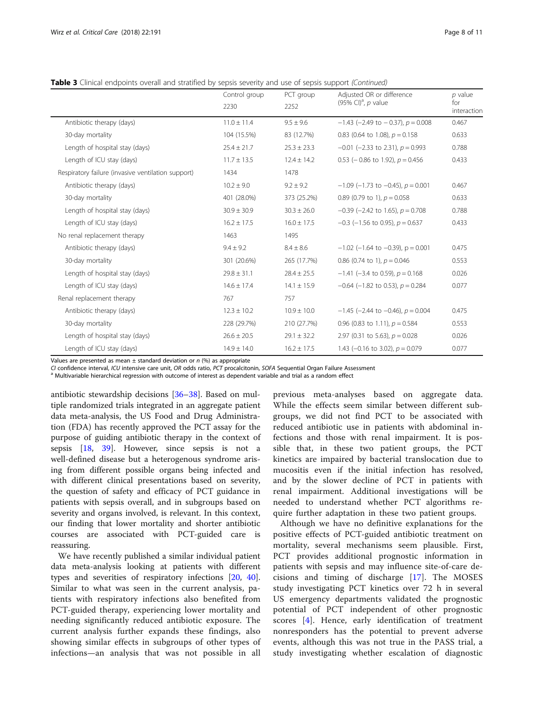Table 3 Clinical endpoints overall and stratified by sepsis severity and use of sepsis support (Continued)

|                                                    | Control group   | PCT group       | Adjusted OR or difference                | $p$ value<br>for<br>interaction |
|----------------------------------------------------|-----------------|-----------------|------------------------------------------|---------------------------------|
|                                                    | 2230            | 2252            | (95% CI) <sup>a</sup> , p value          |                                 |
| Antibiotic therapy (days)                          | $11.0 \pm 11.4$ | $9.5 \pm 9.6$   | $-1.43$ (-2.49 to $-0.37$ ), $p = 0.008$ | 0.467                           |
| 30-day mortality                                   | 104 (15.5%)     | 83 (12.7%)      | 0.83 (0.64 to 1.08), $p = 0.158$         | 0.633                           |
| Length of hospital stay (days)                     | $25.4 \pm 21.7$ | $25.3 \pm 23.3$ | $-0.01$ (-2.33 to 2.31), $p = 0.993$     | 0.788                           |
| Length of ICU stay (days)                          | $11.7 \pm 13.5$ | $12.4 \pm 14.2$ | 0.53 ( $-$ 0.86 to 1.92), $p = 0.456$    | 0.433                           |
| Respiratory failure (invasive ventilation support) | 1434            | 1478            |                                          |                                 |
| Antibiotic therapy (days)                          | $10.2 \pm 9.0$  | $9.2 \pm 9.2$   | $-1.09$ (-1.73 to -0.45), $p = 0.001$    | 0.467                           |
| 30-day mortality                                   | 401 (28.0%)     | 373 (25.2%)     | 0.89 (0.79 to 1), $p = 0.058$            | 0.633                           |
| Length of hospital stay (days)                     | $30.9 \pm 30.9$ | $30.3 \pm 26.0$ | $-0.39$ (-2.42 to 1.65), $p = 0.708$     | 0.788                           |
| Length of ICU stay (days)                          | $16.2 \pm 17.5$ | $16.0 \pm 17.5$ | $-0.3$ (-1.56 to 0.95), $p = 0.637$      | 0.433                           |
| No renal replacement therapy                       | 1463            | 1495            |                                          |                                 |
| Antibiotic therapy (days)                          | $9.4 \pm 9.2$   | $8.4 \pm 8.6$   | $-1.02$ (-1.64 to -0.39), p = 0.001      | 0.475                           |
| 30-day mortality                                   | 301 (20.6%)     | 265 (17.7%)     | 0.86 (0.74 to 1), $p = 0.046$            | 0.553                           |
| Length of hospital stay (days)                     | $29.8 \pm 31.1$ | $28.4 \pm 25.5$ | $-1.41$ (-3.4 to 0.59), $p = 0.168$      | 0.026                           |
| Length of ICU stay (days)                          | $14.6 \pm 17.4$ | $14.1 \pm 15.9$ | $-0.64$ (-1.82 to 0.53), $p = 0.284$     | 0.077                           |
| Renal replacement therapy                          | 767             | 757             |                                          |                                 |
| Antibiotic therapy (days)                          | $12.3 \pm 10.2$ | $10.9 \pm 10.0$ | $-1.45$ (-2.44 to -0.46), $p = 0.004$    | 0.475                           |
| 30-day mortality                                   | 228 (29.7%)     | 210 (27.7%)     | 0.96 (0.83 to 1.11), $p = 0.584$         | 0.553                           |
| Length of hospital stay (days)                     | $26.6 \pm 20.5$ | $29.1 \pm 32.2$ | 2.97 (0.31 to 5.63), $p = 0.028$         | 0.026                           |
| Length of ICU stay (days)                          | $14.9 \pm 14.0$ | $16.2 \pm 17.5$ | 1.43 (-0.16 to 3.02), $p = 0.079$        | 0.077                           |

Values are presented as mean  $\pm$  standard deviation or  $n$  (%) as appropriate

CI confidence interval, ICU intensive care unit, OR odds ratio, PCT procalcitonin, SOFA Sequential Organ Failure Assessment<br><sup>a</sup> Multivariable hierarchical regression with outcome of interest as dependent variable and trial

antibiotic stewardship decisions [[36](#page-10-0)–[38](#page-10-0)]. Based on multiple randomized trials integrated in an aggregate patient data meta-analysis, the US Food and Drug Administration (FDA) has recently approved the PCT assay for the purpose of guiding antibiotic therapy in the context of sepsis [[18](#page-10-0), [39\]](#page-10-0). However, since sepsis is not a well-defined disease but a heterogenous syndrome arising from different possible organs being infected and with different clinical presentations based on severity, the question of safety and efficacy of PCT guidance in patients with sepsis overall, and in subgroups based on severity and organs involved, is relevant. In this context, our finding that lower mortality and shorter antibiotic courses are associated with PCT-guided care is reassuring.

We have recently published a similar individual patient data meta-analysis looking at patients with different types and severities of respiratory infections [[20,](#page-10-0) [40](#page-10-0)]. Similar to what was seen in the current analysis, patients with respiratory infections also benefited from PCT-guided therapy, experiencing lower mortality and needing significantly reduced antibiotic exposure. The current analysis further expands these findings, also showing similar effects in subgroups of other types of infections—an analysis that was not possible in all previous meta-analyses based on aggregate data. While the effects seem similar between different subgroups, we did not find PCT to be associated with reduced antibiotic use in patients with abdominal infections and those with renal impairment. It is possible that, in these two patient groups, the PCT kinetics are impaired by bacterial translocation due to mucositis even if the initial infection has resolved, and by the slower decline of PCT in patients with renal impairment. Additional investigations will be needed to understand whether PCT algorithms require further adaptation in these two patient groups.

Although we have no definitive explanations for the positive effects of PCT-guided antibiotic treatment on mortality, several mechanisms seem plausible. First, PCT provides additional prognostic information in patients with sepsis and may influence site-of-care decisions and timing of discharge [\[17](#page-10-0)]. The MOSES study investigating PCT kinetics over 72 h in several US emergency departments validated the prognostic potential of PCT independent of other prognostic scores [[4\]](#page-9-0). Hence, early identification of treatment nonresponders has the potential to prevent adverse events, although this was not true in the PASS trial, a study investigating whether escalation of diagnostic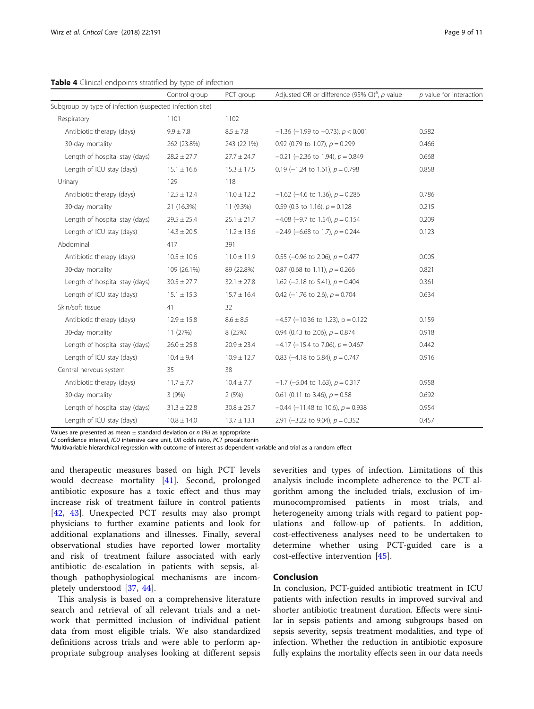<span id="page-8-0"></span>Table 4 Clinical endpoints stratified by type of infection

|                                                          | Control group   | PCT group       | Adjusted OR or difference (95% CI) <sup>a</sup> , p value | $p$ value for interaction |
|----------------------------------------------------------|-----------------|-----------------|-----------------------------------------------------------|---------------------------|
| Subgroup by type of infection (suspected infection site) |                 |                 |                                                           |                           |
| Respiratory                                              | 1101            | 1102            |                                                           |                           |
| Antibiotic therapy (days)                                | $9.9 \pm 7.8$   | $8.5 \pm 7.8$   | $-1.36$ (-1.99 to -0.73), $p < 0.001$                     | 0.582                     |
| 30-day mortality                                         | 262 (23.8%)     | 243 (22.1%)     | 0.92 (0.79 to 1.07), $p = 0.299$                          | 0.466                     |
| Length of hospital stay (days)                           | $28.2 \pm 27.7$ | $27.7 \pm 24.7$ | $-0.21$ (-2.36 to 1.94), $p = 0.849$                      | 0.668                     |
| Length of ICU stay (days)                                | $15.1 \pm 16.6$ | $15.3 \pm 17.5$ | 0.19 (-1.24 to 1.61), $p = 0.798$                         | 0.858                     |
| Urinary                                                  | 129             | 118             |                                                           |                           |
| Antibiotic therapy (days)                                | $12.5 \pm 12.4$ | $11.0 \pm 12.2$ | $-1.62$ (-4.6 to 1.36), $p = 0.286$                       | 0.786                     |
| 30-day mortality                                         | 21 (16.3%)      | 11 (9.3%)       | 0.59 (0.3 to 1.16), $p = 0.128$                           | 0.215                     |
| Length of hospital stay (days)                           | $29.5 \pm 25.4$ | $25.1 \pm 21.7$ | $-4.08$ (-9.7 to 1.54), $p = 0.154$                       | 0.209                     |
| Length of ICU stay (days)                                | $14.3 \pm 20.5$ | $11.2 \pm 13.6$ | $-2.49$ (-6.68 to 1.7), $p = 0.244$                       | 0.123                     |
| Abdominal                                                | 417             | 391             |                                                           |                           |
| Antibiotic therapy (days)                                | $10.5 \pm 10.6$ | $11.0 \pm 11.9$ | 0.55 (-0.96 to 2.06), $p = 0.477$                         | 0.005                     |
| 30-day mortality                                         | 109 (26.1%)     | 89 (22.8%)      | 0.87 (0.68 to 1.11), $p = 0.266$                          | 0.821                     |
| Length of hospital stay (days)                           | $30.5 \pm 27.7$ | $32.1 \pm 27.8$ | 1.62 (-2.18 to 5.41), $p = 0.404$                         | 0.361                     |
| Length of ICU stay (days)                                | $15.1 \pm 15.3$ | $15.7 \pm 16.4$ | 0.42 (-1.76 to 2.6), $p = 0.704$                          | 0.634                     |
| Skin/soft tissue                                         | 41              | 32              |                                                           |                           |
| Antibiotic therapy (days)                                | $12.9 \pm 15.8$ | $8.6 \pm 8.5$   | $-4.57$ (-10.36 to 1.23), p = 0.122                       | 0.159                     |
| 30-day mortality                                         | 11 (27%)        | 8 (25%)         | 0.94 (0.43 to 2.06), $p = 0.874$                          | 0.918                     |
| Length of hospital stay (days)                           | $26.0 \pm 25.8$ | $20.9 \pm 23.4$ | $-4.17$ (-15.4 to 7.06), $p = 0.467$                      | 0.442                     |
| Length of ICU stay (days)                                | $10.4 \pm 9.4$  | $10.9 \pm 12.7$ | 0.83 (-4.18 to 5.84), $p = 0.747$                         | 0.916                     |
| Central nervous system                                   | 35              | 38              |                                                           |                           |
| Antibiotic therapy (days)                                | $11.7 \pm 7.7$  | $10.4 \pm 7.7$  | $-1.7$ (-5.04 to 1.63), $p = 0.317$                       | 0.958                     |
| 30-day mortality                                         | 3(9%)           | 2(5%)           | 0.61 (0.11 to 3.46), $p = 0.58$                           | 0.692                     |
| Length of hospital stay (days)                           | $31.3 \pm 22.8$ | $30.8 \pm 25.7$ | $-0.44$ (-11.48 to 10.6), $p = 0.938$                     | 0.954                     |
| Length of ICU stay (days)                                | $10.8 \pm 14.0$ | $13.7 \pm 13.1$ | 2.91 (-3.22 to 9.04), $p = 0.352$                         | 0.457                     |

Values are presented as mean  $\pm$  standard deviation or n (%) as appropriate

CI confidence interval, ICU intensive care unit, OR odds ratio, PCT procalcitonin

aMultivariable hierarchical regression with outcome of interest as dependent variable and trial as a random effect

and therapeutic measures based on high PCT levels would decrease mortality [[41\]](#page-10-0). Second, prolonged antibiotic exposure has a toxic effect and thus may increase risk of treatment failure in control patients [[42,](#page-10-0) [43](#page-10-0)]. Unexpected PCT results may also prompt physicians to further examine patients and look for additional explanations and illnesses. Finally, several observational studies have reported lower mortality and risk of treatment failure associated with early antibiotic de-escalation in patients with sepsis, although pathophysiological mechanisms are incompletely understood [\[37](#page-10-0), [44\]](#page-10-0).

This analysis is based on a comprehensive literature search and retrieval of all relevant trials and a network that permitted inclusion of individual patient data from most eligible trials. We also standardized definitions across trials and were able to perform appropriate subgroup analyses looking at different sepsis

severities and types of infection. Limitations of this analysis include incomplete adherence to the PCT algorithm among the included trials, exclusion of immunocompromised patients in most trials, and heterogeneity among trials with regard to patient populations and follow-up of patients. In addition, cost-effectiveness analyses need to be undertaken to determine whether using PCT-guided care is a cost-effective intervention [[45\]](#page-10-0).

# Conclusion

In conclusion, PCT-guided antibiotic treatment in ICU patients with infection results in improved survival and shorter antibiotic treatment duration. Effects were similar in sepsis patients and among subgroups based on sepsis severity, sepsis treatment modalities, and type of infection. Whether the reduction in antibiotic exposure fully explains the mortality effects seen in our data needs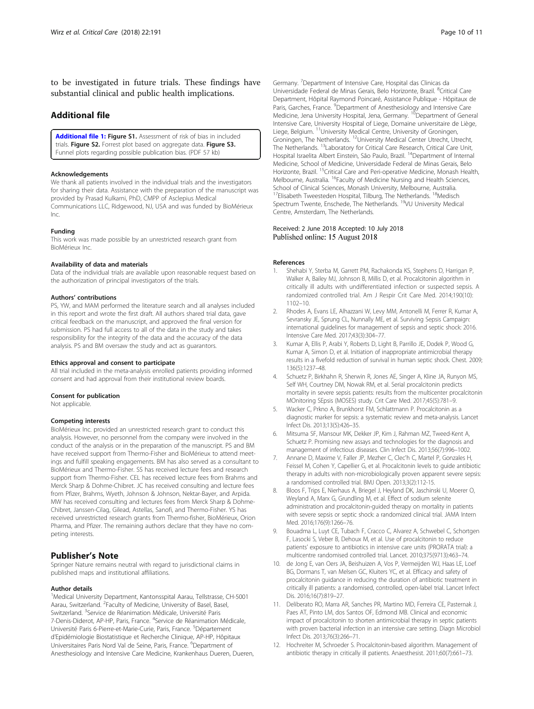<span id="page-9-0"></span>to be investigated in future trials. These findings have substantial clinical and public health implications.

## Additional file

[Additional file 1:](https://doi.org/10.1186/s13054-018-2125-7) Figure S1. Assessment of risk of bias in included trials. Figure S2. Forrest plot based on aggregate data. Figure S3. Funnel plots regarding possible publication bias. (PDF 57 kb)

#### Acknowledgements

We thank all patients involved in the individual trials and the investigators for sharing their data. Assistance with the preparation of the manuscript was provided by Prasad Kulkarni, PhD, CMPP of Asclepius Medical Communications LLC, Ridgewood, NJ, USA and was funded by BioMérieux Inc.

#### Funding

This work was made possible by an unrestricted research grant from BioMérieux Inc.

#### Availability of data and materials

Data of the individual trials are available upon reasonable request based on the authorization of principal investigators of the trials.

## Authors' contributions

PS, YW, and MAM performed the literature search and all analyses included in this report and wrote the first draft. All authors shared trial data, gave critical feedback on the manuscript, and approved the final version for submission. PS had full access to all of the data in the study and takes responsibility for the integrity of the data and the accuracy of the data analysis. PS and BM oversaw the study and act as guarantors.

#### Ethics approval and consent to participate

All trial included in the meta-analysis enrolled patients providing informed consent and had approval from their institutional review boards.

#### Consent for publication

Not applicable.

#### Competing interests

BioMérieux Inc. provided an unrestricted research grant to conduct this analysis. However, no personnel from the company were involved in the conduct of the analysis or in the preparation of the manuscript. PS and BM have received support from Thermo-Fisher and BioMérieux to attend meetings and fulfill speaking engagements. BM has also served as a consultant to BioMérieux and Thermo-Fisher. SS has received lecture fees and research support from Thermo-Fisher. CEL has received lecture fees from Brahms and Merck Sharp & Dohme-Chibret. JC has received consulting and lecture fees from Pfizer, Brahms, Wyeth, Johnson & Johnson, Nektar-Bayer, and Arpida. MW has received consulting and lectures fees from Merck Sharp & Dohme-Chibret, Janssen-Cilag, Gilead, Astellas, Sanofi, and Thermo-Fisher. YS has received unrestricted research grants from Thermo-fisher, BioMérieux, Orion Pharma, and Pfizer. The remaining authors declare that they have no competing interests.

## Publisher's Note

Springer Nature remains neutral with regard to jurisdictional claims in published maps and institutional affiliations.

#### Author details

<sup>1</sup>Medical University Department, Kantonsspital Aarau, Tellstrasse, CH-5001 Aarau, Switzerland. <sup>2</sup>Faculty of Medicine, University of Basel, Basel, Switzerland. <sup>3</sup>Service de Réanimation Médicale, Université Paris 7-Denis-Diderot, AP-HP, Paris, France. <sup>4</sup>Service de Réanimation Médicale, Université Paris 6-Pierre-et-Marie-Curie, Paris, France. <sup>5</sup>Département d'Epidémiologie Biostatistique et Recherche Clinique, AP-HP, Hôpitaux Universitaires Paris Nord Val de Seine, Paris, France. <sup>6</sup>Department of Anesthesiology and Intensive Care Medicine, Krankenhaus Dueren, Dueren,

Germany.<sup>7</sup> Department of Intensive Care, Hospital das Clinicas da Universidade Federal de Minas Gerais, Belo Horizonte, Brazil. <sup>8</sup>Critical Care Department, Hôpital Raymond Poincaré, Assistance Publique - Hôpitaux de Paris, Garches, France. <sup>9</sup>Department of Anesthesiology and Intensive Care Medicine, Jena University Hospital, Jena, Germany. <sup>10</sup>Department of General Intensive Care, University Hospital of Liege, Domaine universitaire de Liège, Liege, Belgium. 11University Medical Centre, University of Groningen, Groningen, The Netherlands. 12University Medical Center Utrecht, Utrecht, The Netherlands. <sup>13</sup>Laboratory for Critical Care Research, Critical Care Unit, Hospital Israelita Albert Einstein, São Paulo, Brazil. <sup>14</sup>Department of Internal Medicine, School of Medicine, Universidade Federal de Minas Gerais, Belo Horizonte, Brazil. <sup>15</sup>Critical Care and Peri-operative Medicine, Monash Health, Melbourne, Australia. <sup>16</sup>Faculty of Medicine Nursing and Health Sciences, School of Clinical Sciences, Monash University, Melbourne, Australia. <sup>17</sup>Elisabeth Tweesteden Hospital, Tilburg, The Netherlands. <sup>18</sup>Medisch Spectrum Twente, Enschede, The Netherlands. <sup>19</sup>VU University Medical Centre, Amsterdam, The Netherlands.

## Received: 2 June 2018 Accepted: 10 July 2018 Published online: 15 August 2018

#### References

- 1. Shehabi Y, Sterba M, Garrett PM, Rachakonda KS, Stephens D, Harrigan P, Walker A, Bailey MJ, Johnson B, Millis D, et al. Procalcitonin algorithm in critically ill adults with undifferentiated infection or suspected sepsis. A randomized controlled trial. Am J Respir Crit Care Med. 2014;190(10): 1102–10.
- 2. Rhodes A, Evans LE, Alhazzani W, Levy MM, Antonelli M, Ferrer R, Kumar A, Sevransky JE, Sprung CL, Nunnally ME, et al. Surviving Sepsis Campaign: international guidelines for management of sepsis and septic shock: 2016. Intensive Care Med. 2017;43(3):304–77.
- 3. Kumar A, Ellis P, Arabi Y, Roberts D, Light B, Parrillo JE, Dodek P, Wood G, Kumar A, Simon D, et al. Initiation of inappropriate antimicrobial therapy results in a fivefold reduction of survival in human septic shock. Chest. 2009; 136(5):1237–48.
- 4. Schuetz P, Birkhahn R, Sherwin R, Jones AE, Singer A, Kline JA, Runyon MS, Self WH, Courtney DM, Nowak RM, et al. Serial procalcitonin predicts mortality in severe sepsis patients: results from the multicenter procalcitonin MOnitoring SEpsis (MOSES) study. Crit Care Med. 2017;45(5):781–9.
- 5. Wacker C, Prkno A, Brunkhorst FM, Schlattmann P. Procalcitonin as a diagnostic marker for sepsis: a systematic review and meta-analysis. Lancet Infect Dis. 2013;13(5):426–35.
- 6. Mitsuma SF, Mansour MK, Dekker JP, Kim J, Rahman MZ, Tweed-Kent A, Schuetz P. Promising new assays and technologies for the diagnosis and management of infectious diseases. Clin Infect Dis. 2013;56(7):996–1002.
- 7. Annane D, Maxime V, Faller JP, Mezher C, Clec'h C, Martel P, Gonzales H, Feissel M, Cohen Y, Capellier G, et al. Procalcitonin levels to guide antibiotic therapy in adults with non-microbiologically proven apparent severe sepsis: a randomised controlled trial. BMJ Open. 2013;3(2):112-15.
- 8. Bloos F, Trips E, Nierhaus A, Briegel J, Heyland DK, Jaschinski U, Moerer O, Weyland A, Marx G, Grundling M, et al. Effect of sodium selenite administration and procalcitonin-guided therapy on mortality in patients with severe sepsis or septic shock: a randomized clinical trial. JAMA Intern Med. 2016;176(9):1266–76.
- 9. Bouadma L, Luyt CE, Tubach F, Cracco C, Alvarez A, Schwebel C, Schortgen F, Lasocki S, Veber B, Dehoux M, et al. Use of procalcitonin to reduce patients' exposure to antibiotics in intensive care units (PRORATA trial): a multicentre randomised controlled trial. Lancet. 2010;375(9713):463–74.
- 10. de Jong E, van Oers JA, Beishuizen A, Vos P, Vermeijden WJ, Haas LE, Loef BG, Dormans T, van Melsen GC, Kluiters YC, et al. Efficacy and safety of procalcitonin guidance in reducing the duration of antibiotic treatment in critically ill patients: a randomised, controlled, open-label trial. Lancet Infect Dis. 2016;16(7):819–27.
- 11. Deliberato RO, Marra AR, Sanches PR, Martino MD, Ferreira CE, Pasternak J, Paes AT, Pinto LM, dos Santos OF, Edmond MB. Clinical and economic impact of procalcitonin to shorten antimicrobial therapy in septic patients with proven bacterial infection in an intensive care setting. Diagn Microbiol Infect Dis. 2013;76(3):266–71.
- 12. Hochreiter M, Schroeder S. Procalcitonin-based algorithm. Management of antibiotic therapy in critically ill patients. Anaesthesist. 2011;60(7):661–73.